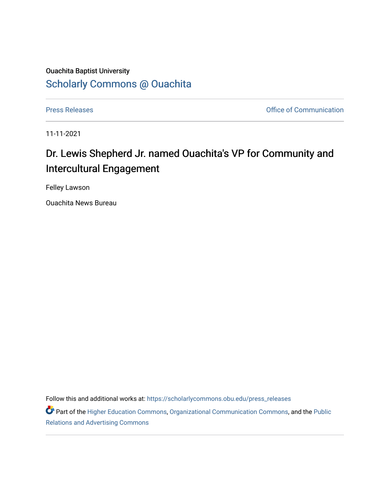## Ouachita Baptist University [Scholarly Commons @ Ouachita](https://scholarlycommons.obu.edu/)

[Press Releases](https://scholarlycommons.obu.edu/press_releases) **Press Releases Communication** 

11-11-2021

## Dr. Lewis Shepherd Jr. named Ouachita's VP for Community and Intercultural Engagement

Felley Lawson

Ouachita News Bureau

Follow this and additional works at: [https://scholarlycommons.obu.edu/press\\_releases](https://scholarlycommons.obu.edu/press_releases?utm_source=scholarlycommons.obu.edu%2Fpress_releases%2F903&utm_medium=PDF&utm_campaign=PDFCoverPages)

Part of the [Higher Education Commons,](http://network.bepress.com/hgg/discipline/1245?utm_source=scholarlycommons.obu.edu%2Fpress_releases%2F903&utm_medium=PDF&utm_campaign=PDFCoverPages) [Organizational Communication Commons,](http://network.bepress.com/hgg/discipline/335?utm_source=scholarlycommons.obu.edu%2Fpress_releases%2F903&utm_medium=PDF&utm_campaign=PDFCoverPages) and the [Public](http://network.bepress.com/hgg/discipline/336?utm_source=scholarlycommons.obu.edu%2Fpress_releases%2F903&utm_medium=PDF&utm_campaign=PDFCoverPages) [Relations and Advertising Commons](http://network.bepress.com/hgg/discipline/336?utm_source=scholarlycommons.obu.edu%2Fpress_releases%2F903&utm_medium=PDF&utm_campaign=PDFCoverPages)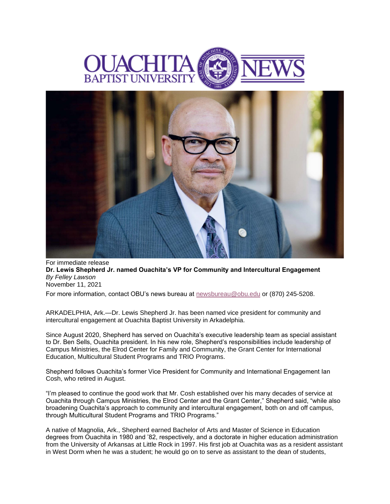



For immediate release **Dr. Lewis Shepherd Jr. named Ouachita's VP for Community and Intercultural Engagement** *By Felley Lawson* November 11, 2021

For more information, contact OBU's news bureau at [newsbureau@obu.edu](mailto:newsbureau@obu.edu) or (870) 245-5208.

ARKADELPHIA, Ark.—Dr. Lewis Shepherd Jr. has been named vice president for community and intercultural engagement at Ouachita Baptist University in Arkadelphia.

Since August 2020, Shepherd has served on Ouachita's executive leadership team as special assistant to Dr. Ben Sells, Ouachita president. In his new role, Shepherd's responsibilities include leadership of Campus Ministries, the Elrod Center for Family and Community, the Grant Center for International Education, Multicultural Student Programs and TRIO Programs.

Shepherd follows Ouachita's former Vice President for Community and International Engagement Ian Cosh, who retired in August.

"I'm pleased to continue the good work that Mr. Cosh established over his many decades of service at Ouachita through Campus Ministries, the Elrod Center and the Grant Center," Shepherd said, "while also broadening Ouachita's approach to community and intercultural engagement, both on and off campus, through Multicultural Student Programs and TRIO Programs."

A native of Magnolia, Ark., Shepherd earned Bachelor of Arts and Master of Science in Education degrees from Ouachita in 1980 and '82, respectively, and a doctorate in higher education administration from the University of Arkansas at Little Rock in 1997. His first job at Ouachita was as a resident assistant in West Dorm when he was a student; he would go on to serve as assistant to the dean of students,